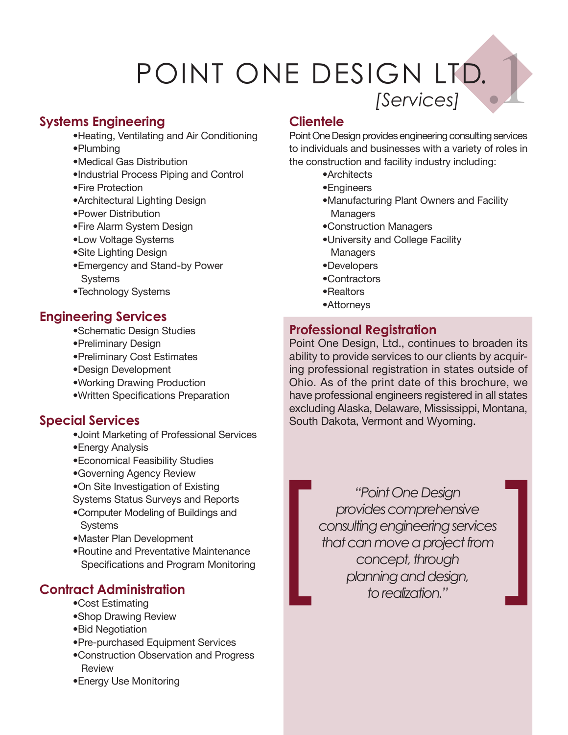# POINT ONE DESIGN LTD.<br> *[Services]*

#### **Systems Engineering**

- •Heating, Ventilating and Air Conditioning
- •Plumbing
- •Medical Gas Distribution
- •Industrial Process Piping and Control
- •Fire Protection
- •Architectural Lighting Design
- •Power Distribution
- •Fire Alarm System Design
- •Low Voltage Systems
- •Site Lighting Design
- •Emergency and Stand-by Power **Systems**
- •Technology Systems

### **Engineering Services**

- •Schematic Design Studies
- •Preliminary Design
- •Preliminary Cost Estimates
- •Design Development
- •Working Drawing Production
- •Written Specifications Preparation

## **Special Services**

- •Joint Marketing of Professional Services
- •Energy Analysis
- •Economical Feasibility Studies
- •Governing Agency Review
- •On Site Investigation of Existing
- Systems Status Surveys and Reports
- •Computer Modeling of Buildings and **Systems**
- •Master Plan Development
- •Routine and Preventative Maintenance Specifications and Program Monitoring

# **Contract Administration**

- •Cost Estimating
- •Shop Drawing Review
- •Bid Negotiation
- •Pre-purchased Equipment Services
- •Construction Observation and Progress **Review**
- •Energy Use Monitoring

### **Clientele**

Point One Design provides engineering consulting services to individuals and businesses with a variety of roles in the construction and facility industry including:

- •Architects
- •Engineers
- •Manufacturing Plant Owners and Facility **Managers**
- •Construction Managers
- •University and College Facility **Managers**
- •Developers
- •Contractors
- •Realtors
- •Attorneys

## **Professional Registration**

Point One Design, Ltd., continues to broaden its ability to provide services to our clients by acquiring professional registration in states outside of Ohio. As of the print date of this brochure, we have professional engineers registered in all states excluding Alaska, Delaware, Mississippi, Montana, South Dakota, Vermont and Wyoming.

*"Point One Design provides comprehensive consulting engineering services that can move a project from concept, through f Provides comprehensive*<br>consulting engineering services<br>that can move a project from<br>concept, through<br>planning and design,<br>to realization."